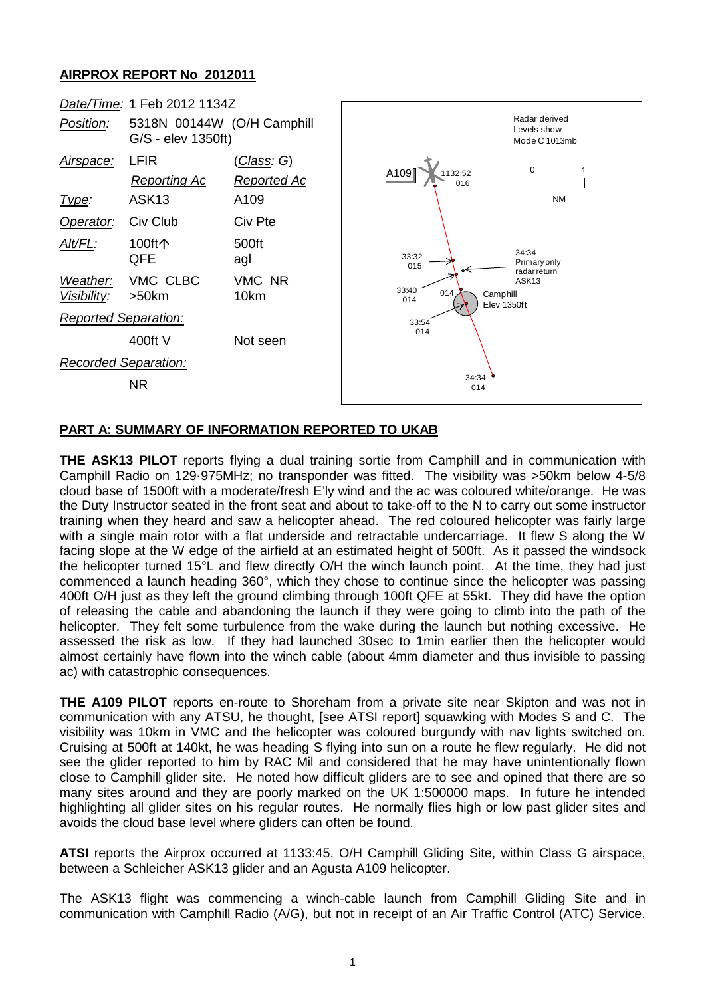## **AIRPROX REPORT No 2012011**



## **PART A: SUMMARY OF INFORMATION REPORTED TO UKAB**

**THE ASK13 PILOT** reports flying a dual training sortie from Camphill and in communication with Camphill Radio on 129·975MHz; no transponder was fitted. The visibility was >50km below 4-5/8 cloud base of 1500ft with a moderate/fresh E'ly wind and the ac was coloured white/orange. He was the Duty Instructor seated in the front seat and about to take-off to the N to carry out some instructor training when they heard and saw a helicopter ahead. The red coloured helicopter was fairly large with a single main rotor with a flat underside and retractable undercarriage. It flew S along the W facing slope at the W edge of the airfield at an estimated height of 500ft. As it passed the windsock the helicopter turned 15°L and flew directly O/H the winch launch point. At the time, they had just commenced a launch heading 360°, which they chose to continue since the helicopter was passing 400ft O/H just as they left the ground climbing through 100ft QFE at 55kt. They did have the option of releasing the cable and abandoning the launch if they were going to climb into the path of the helicopter. They felt some turbulence from the wake during the launch but nothing excessive. He assessed the risk as low. If they had launched 30sec to 1min earlier then the helicopter would almost certainly have flown into the winch cable (about 4mm diameter and thus invisible to passing ac) with catastrophic consequences.

**THE A109 PILOT** reports en-route to Shoreham from a private site near Skipton and was not in communication with any ATSU, he thought, [see ATSI report] squawking with Modes S and C. The visibility was 10km in VMC and the helicopter was coloured burgundy with nav lights switched on. Cruising at 500ft at 140kt, he was heading S flying into sun on a route he flew regularly. He did not see the glider reported to him by RAC Mil and considered that he may have unintentionally flown close to Camphill glider site. He noted how difficult gliders are to see and opined that there are so many sites around and they are poorly marked on the UK 1:500000 maps. In future he intended highlighting all glider sites on his regular routes. He normally flies high or low past glider sites and avoids the cloud base level where gliders can often be found.

**ATSI** reports the Airprox occurred at 1133:45, O/H Camphill Gliding Site, within Class G airspace, between a Schleicher ASK13 glider and an Agusta A109 helicopter.

The ASK13 flight was commencing a winch-cable launch from Camphill Gliding Site and in communication with Camphill Radio (A/G), but not in receipt of an Air Traffic Control (ATC) Service.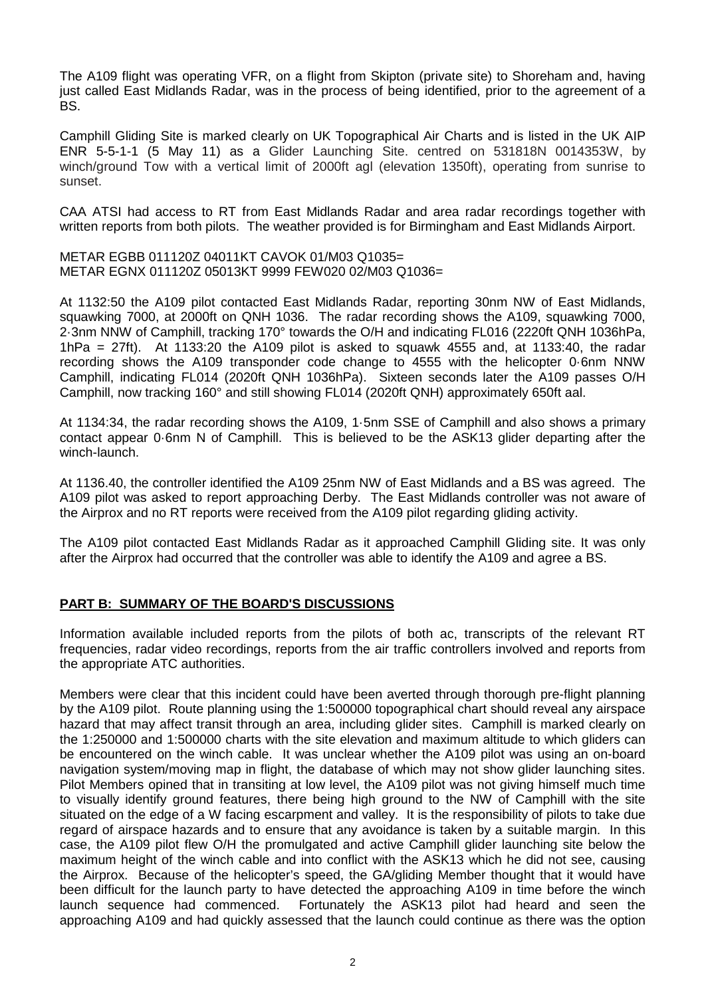The A109 flight was operating VFR, on a flight from Skipton (private site) to Shoreham and, having just called East Midlands Radar, was in the process of being identified, prior to the agreement of a BS.

Camphill Gliding Site is marked clearly on UK Topographical Air Charts and is listed in the UK AIP ENR 5-5-1-1 (5 May 11) as a Glider Launching Site. centred on 531818N 0014353W, by winch/ground Tow with a vertical limit of 2000ft agl (elevation 1350ft), operating from sunrise to sunset.

CAA ATSI had access to RT from East Midlands Radar and area radar recordings together with written reports from both pilots. The weather provided is for Birmingham and East Midlands Airport.

METAR EGBB 011120Z 04011KT CAVOK 01/M03 Q1035= METAR EGNX 011120Z 05013KT 9999 FEW020 02/M03 Q1036=

At 1132:50 the A109 pilot contacted East Midlands Radar, reporting 30nm NW of East Midlands, squawking 7000, at 2000ft on QNH 1036. The radar recording shows the A109, squawking 7000, 2·3nm NNW of Camphill, tracking 170° towards the O/H and indicating FL016 (2220ft QNH 1036hPa,  $1hPa = 27ft$ ). At 1133:20 the A109 pilot is asked to squawk 4555 and, at 1133:40, the radar recording shows the A109 transponder code change to 4555 with the helicopter 0·6nm NNW Camphill, indicating FL014 (2020ft QNH 1036hPa). Sixteen seconds later the A109 passes O/H Camphill, now tracking 160° and still showing FL014 (2020ft QNH) approximately 650ft aal.

At 1134:34, the radar recording shows the A109, 1·5nm SSE of Camphill and also shows a primary contact appear 0·6nm N of Camphill. This is believed to be the ASK13 glider departing after the winch-launch.

At 1136.40, the controller identified the A109 25nm NW of East Midlands and a BS was agreed. The A109 pilot was asked to report approaching Derby. The East Midlands controller was not aware of the Airprox and no RT reports were received from the A109 pilot regarding gliding activity.

The A109 pilot contacted East Midlands Radar as it approached Camphill Gliding site. It was only after the Airprox had occurred that the controller was able to identify the A109 and agree a BS.

## **PART B: SUMMARY OF THE BOARD'S DISCUSSIONS**

Information available included reports from the pilots of both ac, transcripts of the relevant RT frequencies, radar video recordings, reports from the air traffic controllers involved and reports from the appropriate ATC authorities.

Members were clear that this incident could have been averted through thorough pre-flight planning by the A109 pilot. Route planning using the 1:500000 topographical chart should reveal any airspace hazard that may affect transit through an area, including glider sites. Camphill is marked clearly on the 1:250000 and 1:500000 charts with the site elevation and maximum altitude to which gliders can be encountered on the winch cable. It was unclear whether the A109 pilot was using an on-board navigation system/moving map in flight, the database of which may not show glider launching sites. Pilot Members opined that in transiting at low level, the A109 pilot was not giving himself much time to visually identify ground features, there being high ground to the NW of Camphill with the site situated on the edge of a W facing escarpment and valley. It is the responsibility of pilots to take due regard of airspace hazards and to ensure that any avoidance is taken by a suitable margin. In this case, the A109 pilot flew O/H the promulgated and active Camphill glider launching site below the maximum height of the winch cable and into conflict with the ASK13 which he did not see, causing the Airprox. Because of the helicopter's speed, the GA/gliding Member thought that it would have been difficult for the launch party to have detected the approaching A109 in time before the winch launch sequence had commenced. Fortunately the ASK13 pilot had heard and seen the approaching A109 and had quickly assessed that the launch could continue as there was the option